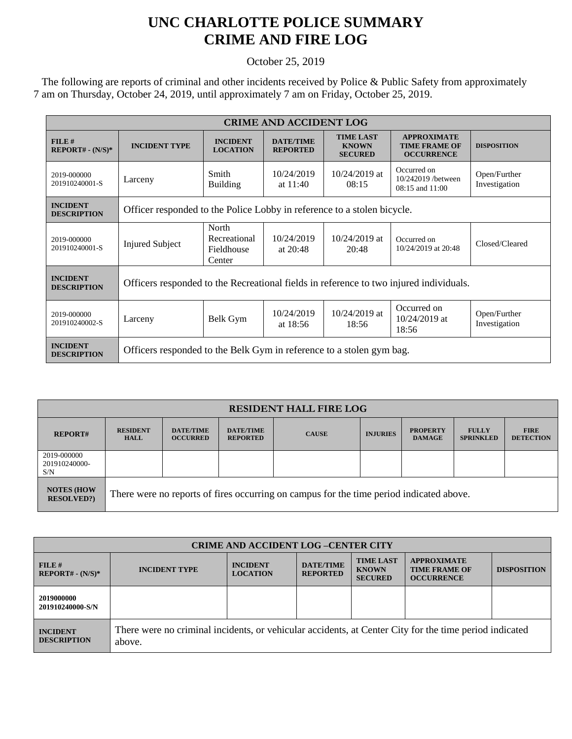## **UNC CHARLOTTE POLICE SUMMARY CRIME AND FIRE LOG**

October 25, 2019

 The following are reports of criminal and other incidents received by Police & Public Safety from approximately 7 am on Thursday, October 24, 2019, until approximately 7 am on Friday, October 25, 2019.

| <b>CRIME AND ACCIDENT LOG</b>         |                                                                                        |                                               |                                     |                                                    |                                                                 |                               |  |
|---------------------------------------|----------------------------------------------------------------------------------------|-----------------------------------------------|-------------------------------------|----------------------------------------------------|-----------------------------------------------------------------|-------------------------------|--|
| FILE#<br>$REPORT# - (N/S)*$           | <b>INCIDENT TYPE</b>                                                                   | <b>INCIDENT</b><br><b>LOCATION</b>            | <b>DATE/TIME</b><br><b>REPORTED</b> | <b>TIME LAST</b><br><b>KNOWN</b><br><b>SECURED</b> | <b>APPROXIMATE</b><br><b>TIME FRAME OF</b><br><b>OCCURRENCE</b> | <b>DISPOSITION</b>            |  |
| 2019-000000<br>201910240001-S         | Larceny                                                                                | Smith<br><b>Building</b>                      | 10/24/2019<br>at $11:40$            | $10/24/2019$ at<br>08:15                           | Occurred on<br>10/242019 /between<br>$08:15$ and $11:00$        | Open/Further<br>Investigation |  |
| <b>INCIDENT</b><br><b>DESCRIPTION</b> | Officer responded to the Police Lobby in reference to a stolen bicycle.                |                                               |                                     |                                                    |                                                                 |                               |  |
| 2019-000000<br>201910240001-S         | <b>Injured Subject</b>                                                                 | North<br>Recreational<br>Fieldhouse<br>Center | 10/24/2019<br>at $20:48$            | $10/24/2019$ at<br>20:48                           | Occurred on<br>10/24/2019 at 20:48                              | Closed/Cleared                |  |
| <b>INCIDENT</b><br><b>DESCRIPTION</b> | Officers responded to the Recreational fields in reference to two injured individuals. |                                               |                                     |                                                    |                                                                 |                               |  |
| 2019-000000<br>201910240002-S         | Larceny                                                                                | Belk Gym                                      | 10/24/2019<br>at $18:56$            | $10/24/2019$ at<br>18:56                           | Occurred on<br>$10/24/2019$ at<br>18:56                         | Open/Further<br>Investigation |  |
| <b>INCIDENT</b><br><b>DESCRIPTION</b> | Officers responded to the Belk Gym in reference to a stolen gym bag.                   |                                               |                                     |                                                    |                                                                 |                               |  |

| <b>RESIDENT HALL FIRE LOG</b>           |                                                                                         |                                     |                                     |              |                 |                                  |                                  |                                 |
|-----------------------------------------|-----------------------------------------------------------------------------------------|-------------------------------------|-------------------------------------|--------------|-----------------|----------------------------------|----------------------------------|---------------------------------|
| <b>REPORT#</b>                          | <b>RESIDENT</b><br><b>HALL</b>                                                          | <b>DATE/TIME</b><br><b>OCCURRED</b> | <b>DATE/TIME</b><br><b>REPORTED</b> | <b>CAUSE</b> | <b>INJURIES</b> | <b>PROPERTY</b><br><b>DAMAGE</b> | <b>FULLY</b><br><b>SPRINKLED</b> | <b>FIRE</b><br><b>DETECTION</b> |
| 2019-000000<br>201910240000-<br>S/N     |                                                                                         |                                     |                                     |              |                 |                                  |                                  |                                 |
| <b>NOTES (HOW)</b><br><b>RESOLVED?)</b> | There were no reports of fires occurring on campus for the time period indicated above. |                                     |                                     |              |                 |                                  |                                  |                                 |

| <b>CRIME AND ACCIDENT LOG -CENTER CITY</b> |                                                                                                                  |                                    |                                     |                                                    |                                                                 |                    |  |
|--------------------------------------------|------------------------------------------------------------------------------------------------------------------|------------------------------------|-------------------------------------|----------------------------------------------------|-----------------------------------------------------------------|--------------------|--|
| FILE#<br>$REPORT# - (N/S)*$                | <b>INCIDENT TYPE</b>                                                                                             | <b>INCIDENT</b><br><b>LOCATION</b> | <b>DATE/TIME</b><br><b>REPORTED</b> | <b>TIME LAST</b><br><b>KNOWN</b><br><b>SECURED</b> | <b>APPROXIMATE</b><br><b>TIME FRAME OF</b><br><b>OCCURRENCE</b> | <b>DISPOSITION</b> |  |
| 2019000000<br>201910240000-S/N             |                                                                                                                  |                                    |                                     |                                                    |                                                                 |                    |  |
| <b>INCIDENT</b><br><b>DESCRIPTION</b>      | There were no criminal incidents, or vehicular accidents, at Center City for the time period indicated<br>above. |                                    |                                     |                                                    |                                                                 |                    |  |